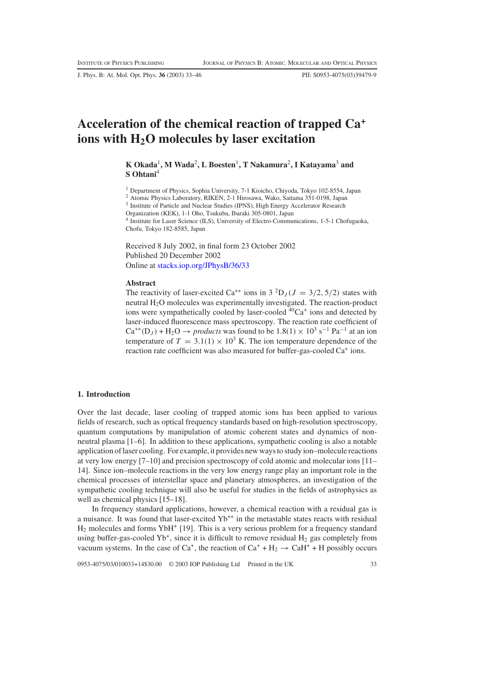J. Phys. B: At. Mol. Opt. Phys. **36** (2003) 33–46 PII: S0953-4075(03)39479-9

# **Acceleration of the chemical reaction of trapped Ca<sup>+</sup> ions with H2O molecules by laser excitation**

# **K Okada**1**, M Wada**2**, L Boesten**1**, T Nakamura**2**, I Katayama**<sup>3</sup> **and S Ohtani**<sup>4</sup>

<sup>1</sup> Department of Physics, Sophia University, 7-1 Kioicho, Chiyoda, Tokyo 102-8554, Japan

<sup>2</sup> Atomic Physics Laboratory, RIKEN, 2-1 Hirosawa, Wako, Saitama 351-0198, Japan

<sup>3</sup> Institute of Particle and Nuclear Studies (IPNS), High Energy Accelerator Research

Organization (KEK), 1-1 Oho, Tsukuba, Ibaraki 305-0801, Japan

<sup>4</sup> Institute for Laser Science (ILS), University of Electro-Communications, 1-5-1 Chofugaoka, Chofu, Tokyo 182-8585, Japan

Received 8 July 2002, in final form 23 October 2002 Published 20 December 2002 Online at <stacks.iop.org/JPhysB/36/33>

### **Abstract**

The reactivity of laser-excited Ca<sup>+\*</sup> ions in  $3 \text{ }^2D_J (J = 3/2, 5/2)$  states with neutral  $H<sub>2</sub>O$  molecules was experimentally investigated. The reaction-product ions were sympathetically cooled by laser-cooled  $40Ca<sup>+</sup>$  ions and detected by laser-induced fluorescence mass spectroscopy. The reaction rate coefficient of  $Ca^{**}(D_J) + H_2O \rightarrow products$  was found to be  $1.8(1) \times 10^3$  s<sup>-1</sup> Pa<sup>-1</sup> at an ion temperature of  $T = 3.1(1) \times 10^3$  K. The ion temperature dependence of the reaction rate coefficient was also measured for buffer-gas-cooled Ca<sup>+</sup> ions.

#### **1. Introduction**

Over the last decade, laser cooling of trapped atomic ions has been applied to various fields of research, such as optical frequency standards based on high-resolution spectroscopy, quantum computations by manipulation of atomic coherent states and dynamics of nonneutral plasma [1–6]. In addition to these applications, sympathetic cooling is also a notable application of laser cooling. For example, it provides new ways to study ion–molecule reactions at very low energy [7–10] and precision spectroscopy of cold atomic and molecular ions [11– 14]. Since ion–molecule reactions in the very low energy range play an important role in the chemical processes of interstellar space and planetary atmospheres, an investigation of the sympathetic cooling technique will also be useful for studies in the fields of astrophysics as well as chemical physics [15–18].

In frequency standard applications, however, a chemical reaction with a residual gas is a nuisance. It was found that laser-excited Yb<sup>+\*</sup> in the metastable states reacts with residual  $H_2$  molecules and forms YbH<sup>+</sup> [19]. This is a very serious problem for a frequency standard using buffer-gas-cooled  $Yb^+$ , since it is difficult to remove residual  $H_2$  gas completely from vacuum systems. In the case of  $Ca^+$ , the reaction of  $Ca^+ + H_2 \rightarrow CaH^+ + H$  possibly occurs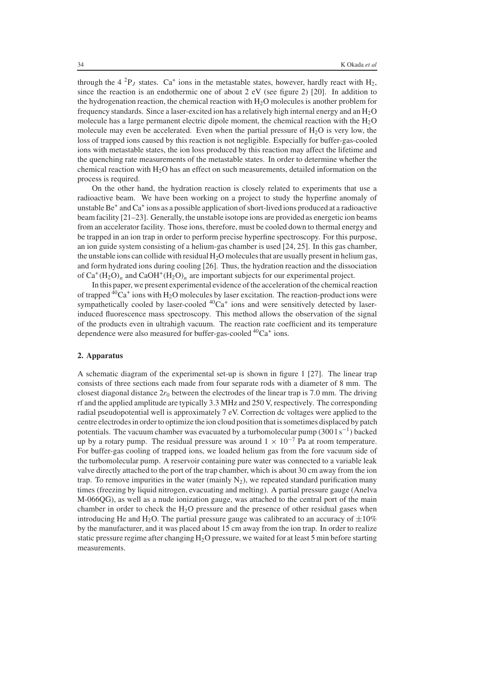through the  $4^{2}P_J$  states. Ca<sup>+</sup> ions in the metastable states, however, hardly react with H<sub>2</sub>, since the reaction is an endothermic one of about 2 eV (see figure 2) [20]. In addition to the hydrogenation reaction, the chemical reaction with  $H_2O$  molecules is another problem for frequency standards. Since a laser-excited ion has a relatively high internal energy and an  $H_2O$ molecule has a large permanent electric dipole moment, the chemical reaction with the  $H_2O$ molecule may even be accelerated. Even when the partial pressure of  $H_2O$  is very low, the loss of trapped ions caused by this reaction is not negligible. Especially for buffer-gas-cooled ions with metastable states, the ion loss produced by this reaction may affect the lifetime and the quenching rate measurements of the metastable states. In order to determine whether the chemical reaction with  $H_2O$  has an effect on such measurements, detailed information on the process is required.

On the other hand, the hydration reaction is closely related to experiments that use a radioactive beam. We have been working on a project to study the hyperfine anomaly of unstable  $Be^+$  and  $Ca^+$  ions as a possible application of short-lived ions produced at a radioactive beam facility [21–23]. Generally, the unstable isotope ions are provided as energetic ion beams from an accelerator facility. Those ions, therefore, must be cooled down to thermal energy and be trapped in an ion trap in order to perform precise hyperfine spectroscopy. For this purpose, an ion guide system consisting of a helium-gas chamber is used [24, 25]. In this gas chamber, the unstable ions can collide with residual  $H_2O$  molecules that are usually present in helium gas, and form hydrated ions during cooling [26]. Thus, the hydration reaction and the dissociation of  $Ca^+(H_2O)_n$  and  $CaOH^+(H_2O)_n$  are important subjects for our experimental project.

In this paper, we present experimental evidence of the acceleration of the chemical reaction of trapped  ${}^{40}Ca^+$  ions with H<sub>2</sub>O molecules by laser excitation. The reaction-product ions were sympathetically cooled by laser-cooled  ${}^{40}Ca<sup>+</sup>$  ions and were sensitively detected by laserinduced fluorescence mass spectroscopy. This method allows the observation of the signal of the products even in ultrahigh vacuum. The reaction rate coefficient and its temperature dependence were also measured for buffer-gas-cooled  ${}^{40}Ca<sup>+</sup>$  ions.

# **2. Apparatus**

A schematic diagram of the experimental set-up is shown in figure 1 [27]. The linear trap consists of three sections each made from four separate rods with a diameter of 8 mm. The closest diagonal distance  $2r_0$  between the electrodes of the linear trap is 7.0 mm. The driving rf and the applied amplitude are typically 3.3 MHz and 250 V, respectively. The corresponding radial pseudopotential well is approximately 7 eV. Correction dc voltages were applied to the centre electrodes in order to optimize the ion cloud position that is sometimes displaced by patch potentials. The vacuum chamber was evacuated by a turbomolecular pump (300 l s<sup>-1</sup>) backed up by a rotary pump. The residual pressure was around  $1 \times 10^{-7}$  Pa at room temperature. For buffer-gas cooling of trapped ions, we loaded helium gas from the fore vacuum side of the turbomolecular pump. A reservoir containing pure water was connected to a variable leak valve directly attached to the port of the trap chamber, which is about 30 cm away from the ion trap. To remove impurities in the water (mainly  $N_2$ ), we repeated standard purification many times (freezing by liquid nitrogen, evacuating and melting). A partial pressure gauge (Anelva M-066QG), as well as a nude ionization gauge, was attached to the central port of the main chamber in order to check the  $H_2O$  pressure and the presence of other residual gases when introducing He and H<sub>2</sub>O. The partial pressure gauge was calibrated to an accuracy of  $\pm 10\%$ by the manufacturer, and it was placed about 15 cm away from the ion trap. In order to realize static pressure regime after changing  $H_2O$  pressure, we waited for at least 5 min before starting measurements.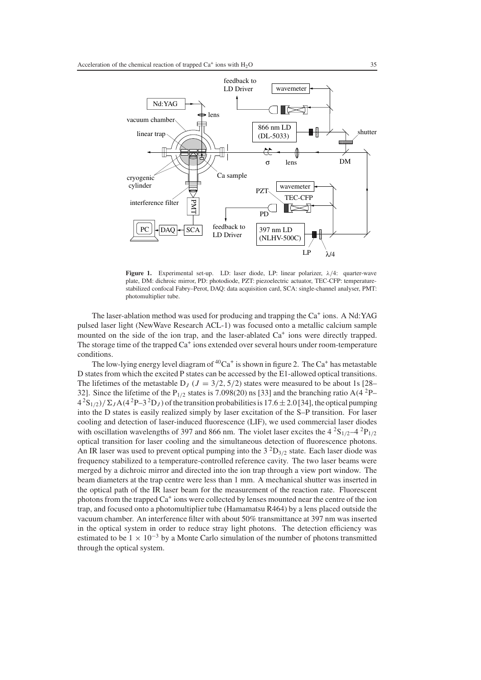

**Figure 1.** Experimental set-up. LD: laser diode, LP: linear polarizer, λ/4: quarter-wave plate, DM: dichroic mirror, PD: photodiode, PZT: piezoelectric actuator, TEC-CFP: temperaturestabilized confocal Fabry–Perot, DAQ: data acquisition card, SCA: single-channel analyser, PMT: photomultiplier tube.

The laser-ablation method was used for producing and trapping the  $Ca<sup>+</sup>$  ions. A Nd:YAG pulsed laser light (NewWave Research ACL-1) was focused onto a metallic calcium sample mounted on the side of the ion trap, and the laser-ablated  $Ca<sup>+</sup>$  ions were directly trapped. The storage time of the trapped  $Ca<sup>+</sup>$  ions extended over several hours under room-temperature conditions.

The low-lying energy level diagram of  ${}^{40}Ca^+$  is shown in figure 2. The  $Ca^+$  has metastable D states from which the excited P states can be accessed by the E1-allowed optical transitions. The lifetimes of the metastable  $D_J$  ( $J = 3/2, 5/2$ ) states were measured to be about 1s [28– 32]. Since the lifetime of the P<sub>1/2</sub> states is 7.098(20) ns [33] and the branching ratio A(4<sup>2</sup>P–  $4^{2}S_{1/2}$ )/ $\Sigma_{J}A(4^{2}P-3^{2}D_{J})$  of the transition probabilities is 17.6  $\pm$  2.0 [34], the optical pumping into the D states is easily realized simply by laser excitation of the S–P transition. For laser cooling and detection of laser-induced fluorescence (LIF), we used commercial laser diodes with oscillation wavelengths of 397 and 866 nm. The violet laser excites the  $4^{2}S_{1/2}$ – $4^{2}P_{1/2}$ optical transition for laser cooling and the simultaneous detection of fluorescence photons. An IR laser was used to prevent optical pumping into the  $3 \text{ }^2D_{3/2}$  state. Each laser diode was frequency stabilized to a temperature-controlled reference cavity. The two laser beams were merged by a dichroic mirror and directed into the ion trap through a view port window. The beam diameters at the trap centre were less than 1 mm. A mechanical shutter was inserted in the optical path of the IR laser beam for the measurement of the reaction rate. Fluorescent photons from the trapped  $Ca<sup>+</sup>$  ions were collected by lenses mounted near the centre of the ion trap, and focused onto a photomultiplier tube (Hamamatsu R464) by a lens placed outside the vacuum chamber. An interference filter with about 50% transmittance at 397 nm was inserted in the optical system in order to reduce stray light photons. The detection efficiency was estimated to be  $1 \times 10^{-3}$  by a Monte Carlo simulation of the number of photons transmitted through the optical system.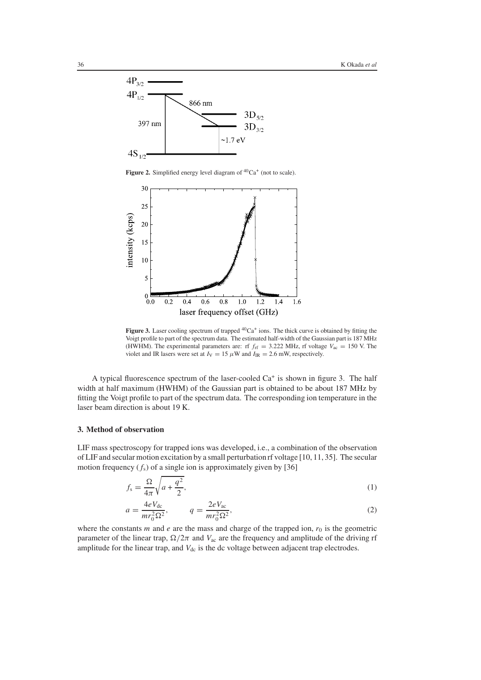

**Figure 2.** Simplified energy level diagram of  ${}^{40}Ca^+$  (not to scale).



**Figure 3.** Laser cooling spectrum of trapped  ${}^{40}Ca<sup>+</sup>$  ions. The thick curve is obtained by fitting the Voigt profile to part of the spectrum data. The estimated half-width of the Gaussian part is 187 MHz (HWHM). The experimental parameters are: rf  $f_{\text{rf}} = 3.222$  MHz, rf voltage  $V_{\text{ac}} = 150$  V. The violet and IR lasers were set at  $I_V = 15 \mu W$  and  $I_{IR} = 2.6 \text{ mW}$ , respectively.

A typical fluorescence spectrum of the laser-cooled  $Ca<sup>+</sup>$  is shown in figure 3. The half width at half maximum (HWHM) of the Gaussian part is obtained to be about 187 MHz by fitting the Voigt profile to part of the spectrum data. The corresponding ion temperature in the laser beam direction is about 19 K.

#### **3. Method of observation**

LIF mass spectroscopy for trapped ions was developed, i.e., a combination of the observation of LIF and secular motion excitation by a small perturbation rf voltage [10, 11, 35]. The secular motion frequency  $(f_s)$  of a single ion is approximately given by [36]

$$
f_{\rm s} = \frac{\Omega}{4\pi} \sqrt{a + \frac{q^2}{2}},\tag{1}
$$

$$
a = \frac{4eV_{dc}}{mr_0^2 \Omega^2}, \qquad q = \frac{2eV_{ac}}{mr_0^2 \Omega^2},
$$
 (2)

where the constants  $m$  and  $e$  are the mass and charge of the trapped ion,  $r_0$  is the geometric parameter of the linear trap,  $\Omega/2\pi$  and  $V_{ac}$  are the frequency and amplitude of the driving rf amplitude for the linear trap, and  $V_{dc}$  is the dc voltage between adjacent trap electrodes.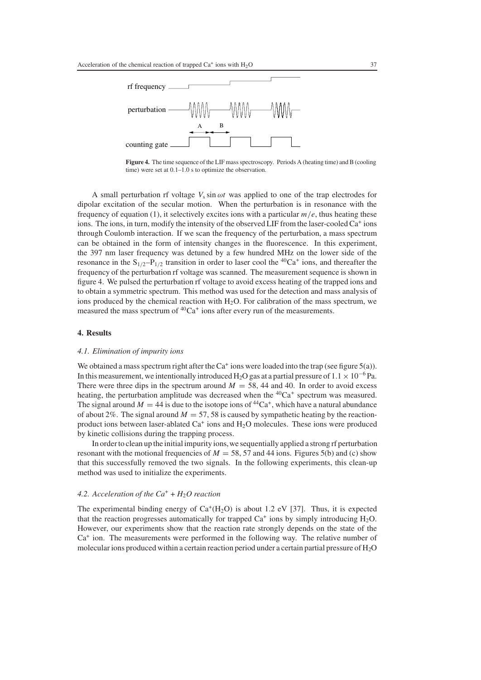

**Figure 4.** The time sequence of the LIF mass spectroscopy. Periods A (heating time) and B (cooling time) were set at 0.1–1.0 s to optimize the observation.

A small perturbation rf voltage  $V_s \sin \omega t$  was applied to one of the trap electrodes for dipolar excitation of the secular motion. When the perturbation is in resonance with the frequency of equation (1), it selectively excites ions with a particular  $m/e$ , thus heating these ions. The ions, in turn, modify the intensity of the observed LIF from the laser-cooled  $Ca^+$  ions through Coulomb interaction. If we scan the frequency of the perturbation, a mass spectrum can be obtained in the form of intensity changes in the fluorescence. In this experiment, the 397 nm laser frequency was detuned by a few hundred MHz on the lower side of the resonance in the  $S_{1/2}-P_{1/2}$  transition in order to laser cool the <sup>40</sup>Ca<sup>+</sup> ions, and thereafter the frequency of the perturbation rf voltage was scanned. The measurement sequence is shown in figure 4. We pulsed the perturbation rf voltage to avoid excess heating of the trapped ions and to obtain a symmetric spectrum. This method was used for the detection and mass analysis of ions produced by the chemical reaction with  $H_2O$ . For calibration of the mass spectrum, we measured the mass spectrum of  ${}^{40}Ca<sup>+</sup>$  ions after every run of the measurements.

#### **4. Results**

#### *4.1. Elimination of impurity ions*

We obtained a mass spectrum right after the  $Ca^+$  ions were loaded into the trap (see figure 5(a)). In this measurement, we intentionally introduced H<sub>2</sub>O gas at a partial pressure of  $1.1 \times 10^{-6}$  Pa. There were three dips in the spectrum around  $M = 58$ , 44 and 40. In order to avoid excess heating, the perturbation amplitude was decreased when the  ${}^{40}Ca<sup>+</sup>$  spectrum was measured. The signal around  $M = 44$  is due to the isotope ions of <sup>44</sup>Ca<sup>+</sup>, which have a natural abundance of about 2%. The signal around  $M = 57, 58$  is caused by sympathetic heating by the reactionproduct ions between laser-ablated  $Ca^+$  ions and  $H_2O$  molecules. These ions were produced by kinetic collisions during the trapping process.

In order to clean up the initial impurity ions, we sequentially applied a strong rf perturbation resonant with the motional frequencies of  $M = 58, 57$  and 44 ions. Figures 5(b) and (c) show that this successfully removed the two signals. In the following experiments, this clean-up method was used to initialize the experiments.

#### 4.2. Acceleration of the  $Ca^+ + H_2O$  reaction

The experimental binding energy of  $Ca^+(H_2O)$  is about 1.2 eV [37]. Thus, it is expected that the reaction progresses automatically for trapped  $Ca<sup>+</sup>$  ions by simply introducing H<sub>2</sub>O. However, our experiments show that the reaction rate strongly depends on the state of the  $Ca<sup>+</sup>$  ion. The measurements were performed in the following way. The relative number of molecular ions produced within a certain reaction period under a certain partial pressure of H2O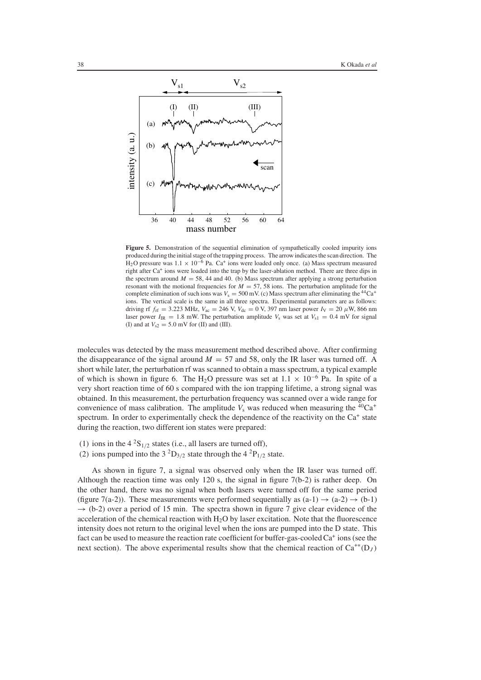

**Figure 5.** Demonstration of the sequential elimination of sympathetically cooled impurity ions produced during the initial stage of the trapping process. The arrow indicates the scan direction. The H<sub>2</sub>O pressure was  $1.1 \times 10^{-6}$  Pa. Ca<sup>+</sup> ions were loaded only once. (a) Mass spectrum measured right after Ca<sup>+</sup> ions were loaded into the trap by the laser-ablation method. There are three dips in the spectrum around  $M = 58$ , 44 and 40. (b) Mass spectrum after applying a strong perturbation resonant with the motional frequencies for  $M = 57$ , 58 ions. The perturbation amplitude for the complete elimination of such ions was  $V_s = 500$  mV. (c) Mass spectrum after eliminating the <sup>44</sup>Ca<sup>+</sup> ions. The vertical scale is the same in all three spectra. Experimental parameters are as follows: driving rf  $f_{\text{rf}} = 3.223 \text{ MHz}$ ,  $V_{\text{ac}} = 246 \text{ V}$ ,  $V_{\text{dc}} = 0 \text{ V}$ , 397 nm laser power  $I_{\text{V}} = 20 \mu \text{W}$ , 866 nm laser power  $I_{IR} = 1.8$  mW. The perturbation amplitude  $V_s$  was set at  $V_{s1} = 0.4$  mV for signal (I) and at  $V_{s2} = 5.0$  mV for (II) and (III).

molecules was detected by the mass measurement method described above. After confirming the disappearance of the signal around  $M = 57$  and 58, only the IR laser was turned off. A short while later, the perturbation rf was scanned to obtain a mass spectrum, a typical example of which is shown in figure 6. The H<sub>2</sub>O pressure was set at  $1.1 \times 10^{-6}$  Pa. In spite of a very short reaction time of 60 s compared with the ion trapping lifetime, a strong signal was obtained. In this measurement, the perturbation frequency was scanned over a wide range for convenience of mass calibration. The amplitude  $V_s$  was reduced when measuring the <sup>40</sup>Ca<sup>+</sup> spectrum. In order to experimentally check the dependence of the reactivity on the  $Ca<sup>+</sup>$  state during the reaction, two different ion states were prepared:

- (1) ions in the  $4^{2}S_{1/2}$  states (i.e., all lasers are turned off),
- (2) ions pumped into the 3  ${}^{2}D_{3/2}$  state through the 4  ${}^{2}P_{1/2}$  state.

As shown in figure 7, a signal was observed only when the IR laser was turned off. Although the reaction time was only 120 s, the signal in figure  $7(b-2)$  is rather deep. On the other hand, there was no signal when both lasers were turned off for the same period (figure 7(a-2)). These measurements were performed sequentially as  $(a-1) \rightarrow (a-2) \rightarrow (b-1)$  $\rightarrow$  (b-2) over a period of 15 min. The spectra shown in figure 7 give clear evidence of the acceleration of the chemical reaction with  $H_2O$  by laser excitation. Note that the fluorescence intensity does not return to the original level when the ions are pumped into the D state. This fact can be used to measure the reaction rate coefficient for buffer-gas-cooled  $Ca<sup>+</sup>$  ions (see the next section). The above experimental results show that the chemical reaction of  $Ca^{**}(D)$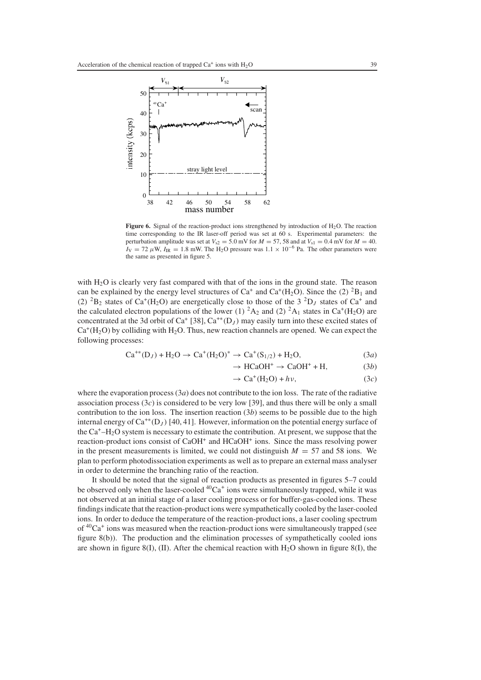

Figure 6. Signal of the reaction-product ions strengthened by introduction of H<sub>2</sub>O. The reaction time corresponding to the IR laser-off period was set at 60 s. Experimental parameters: the perturbation amplitude was set at  $V_{s2} = 5.0$  mV for  $M = 57$ , 58 and at  $V_{s1} = 0.4$  mV for  $M = 40$ .  $I_V = 72 \mu W$ ,  $I_{IR} = 1.8 \text{ mW}$ . The H<sub>2</sub>O pressure was  $1.1 \times 10^{-6}$  Pa. The other parameters were the same as presented in figure 5.

with H<sub>2</sub>O is clearly very fast compared with that of the ions in the ground state. The reason can be explained by the energy level structures of  $Ca^+$  and  $Ca^+(H_2O)$ . Since the (2) <sup>2</sup>B<sub>1</sub> and (2) <sup>2</sup>B<sub>2</sub> states of Ca<sup>+</sup>(H<sub>2</sub>O) are energetically close to those of the 3<sup>2</sup>D<sub>*I*</sub> states of Ca<sup>+</sup> and the calculated electron populations of the lower (1) <sup>2</sup>A<sub>2</sub> and (2) <sup>2</sup>A<sub>1</sub> states in Ca<sup>+</sup>(H<sub>2</sub>O) are concentrated at the 3d orbit of Ca<sup>+</sup> [38], Ca<sup>+\*</sup>(D<sub>*J*</sub>) may easily turn into these excited states of  $Ca<sup>+</sup>(H<sub>2</sub>O)$  by colliding with H<sub>2</sub>O. Thus, new reaction channels are opened. We can expect the following processes:

$$
Ca^{+*}(D_J) + H_2O \to Ca^+(H_2O)^* \to Ca^+(S_{1/2}) + H_2O,
$$
\n(3*a*)

$$
\rightarrow \text{HCaOH}^+ \rightarrow \text{CaOH}^+ + \text{H},\tag{3b}
$$

$$
\rightarrow Ca^+(H_2O) + h\nu, \tag{3c}
$$

where the evaporation process (3*a*) does not contribute to the ion loss. The rate of the radiative association process (3*c*) is considered to be very low [39], and thus there will be only a small contribution to the ion loss. The insertion reaction (3*b*) seems to be possible due to the high internal energy of Ca<sup>+</sup><sup>∗</sup> (D*<sup>J</sup>* ) [40, 41]. However, information on the potential energy surface of the  $Ca^+$ –H<sub>2</sub>O system is necessary to estimate the contribution. At present, we suppose that the reaction-product ions consist of CaOH<sup>+</sup> and HCaOH<sup>+</sup> ions. Since the mass resolving power in the present measurements is limited, we could not distinguish  $M = 57$  and 58 ions. We plan to perform photodissociation experiments as well as to prepare an external mass analyser in order to determine the branching ratio of the reaction.

It should be noted that the signal of reaction products as presented in figures 5–7 could be observed only when the laser-cooled  ${}^{40}Ca<sup>+</sup>$  ions were simultaneously trapped, while it was not observed at an initial stage of a laser cooling process or for buffer-gas-cooled ions. These findings indicate that the reaction-product ions were sympathetically cooled by the laser-cooled ions. In order to deduce the temperature of the reaction-product ions, a laser cooling spectrum of  ${}^{40}Ca<sup>+</sup>$  ions was measured when the reaction-product ions were simultaneously trapped (see figure 8(b)). The production and the elimination processes of sympathetically cooled ions are shown in figure 8(I), (II). After the chemical reaction with  $H_2O$  shown in figure 8(I), the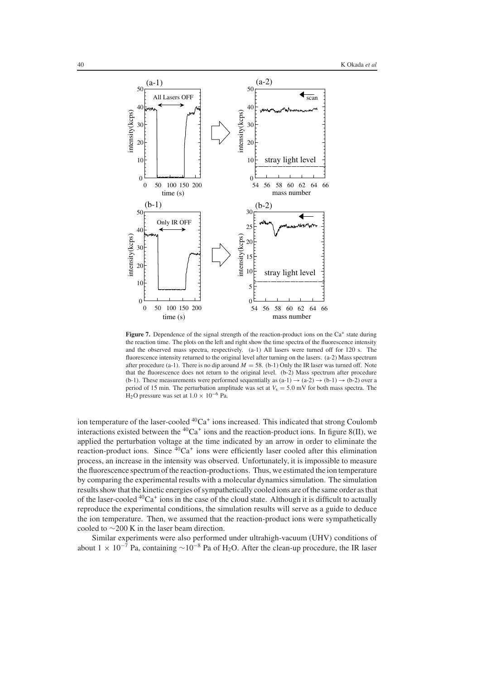

Figure 7. Dependence of the signal strength of the reaction-product ions on the Ca<sup>+</sup> state during the reaction time. The plots on the left and right show the time spectra of the fluorescence intensity and the observed mass spectra, respectively. (a-1) All lasers were turned off for 120 s. The fluorescence intensity returned to the original level after turning on the lasers. (a-2) Mass spectrum after procedure (a-1). There is no dip around  $M = 58$ . (b-1) Only the IR laser was turned off. Note that the fluorescence does not return to the original level. (b-2) Mass spectrum after procedure (b-1). These measurements were performed sequentially as  $(a-1) \rightarrow (a-2) \rightarrow (b-1) \rightarrow (b-2)$  over a period of 15 min. The perturbation amplitude was set at  $V_s = 5.0$  mV for both mass spectra. The H<sub>2</sub>O pressure was set at  $1.0 \times 10^{-6}$  Pa.

ion temperature of the laser-cooled <sup>40</sup>Ca<sup>+</sup> ions increased. This indicated that strong Coulomb interactions existed between the  ${}^{40}Ca^+$  ions and the reaction-product ions. In figure 8(II), we applied the perturbation voltage at the time indicated by an arrow in order to eliminate the reaction-product ions. Since  ${}^{40}Ca^+$  ions were efficiently laser cooled after this elimination process, an increase in the intensity was observed. Unfortunately, it is impossible to measure the fluorescence spectrum of the reaction-productions. Thus, we estimated the ion temperature by comparing the experimental results with a molecular dynamics simulation. The simulation results show that the kinetic energies of sympathetically cooled ions are of the same order as that of the laser-cooled  ${}^{40}Ca<sup>+</sup>$  ions in the case of the cloud state. Although it is difficult to actually reproduce the experimental conditions, the simulation results will serve as a guide to deduce the ion temperature. Then, we assumed that the reaction-product ions were sympathetically cooled to ∼200 K in the laser beam direction.

Similar experiments were also performed under ultrahigh-vacuum (UHV) conditions of about  $1 \times 10^{-7}$  Pa, containing  $\sim 10^{-8}$  Pa of H<sub>2</sub>O. After the clean-up procedure, the IR laser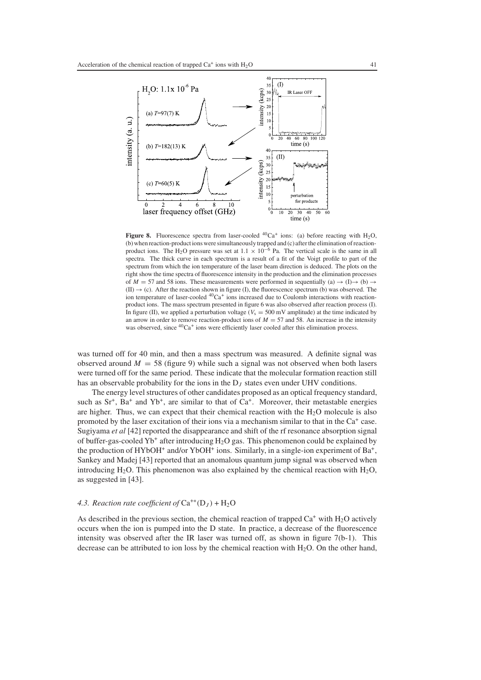

**Figure 8.** Fluorescence spectra from laser-cooled  ${}^{40}Ca^+$  ions: (a) before reacting with H<sub>2</sub>O, (b) when reaction-product ions were simultaneously trapped and (c) after the elimination of reactionproduct ions. The H<sub>2</sub>O pressure was set at  $1.1 \times 10^{-6}$  Pa. The vertical scale is the same in all spectra. The thick curve in each spectrum is a result of a fit of the Voigt profile to part of the spectrum from which the ion temperature of the laser beam direction is deduced. The plots on the right show the time spectra of fluorescence intensity in the production and the elimination processes of  $M = 57$  and 58 ions. These measurements were performed in sequentially (a)  $\rightarrow$  (I) $\rightarrow$  (b)  $\rightarrow$  $(II) \rightarrow (c)$ . After the reaction shown in figure (I), the fluorescence spectrum (b) was observed. The ion temperature of laser-cooled  ${}^{40}Ca<sup>+</sup>$  ions increased due to Coulomb interactions with reactionproduct ions. The mass spectrum presented in figure 6 was also observed after reaction process (I). In figure (II), we applied a perturbation voltage ( $V_s = 500$  mV amplitude) at the time indicated by an arrow in order to remove reaction-product ions of  $M = 57$  and 58. An increase in the intensity was observed, since <sup>40</sup>Ca<sup>+</sup> ions were efficiently laser cooled after this elimination process.

was turned off for 40 min, and then a mass spectrum was measured. A definite signal was observed around  $M = 58$  (figure 9) while such a signal was not observed when both lasers were turned off for the same period. These indicate that the molecular formation reaction still has an observable probability for the ions in the  $D<sub>I</sub>$  states even under UHV conditions.

The energy level structures of other candidates proposed as an optical frequency standard, such as  $Sr^+$ ,  $Ba^+$  and  $Yb^+$ , are similar to that of  $Ca^+$ . Moreover, their metastable energies are higher. Thus, we can expect that their chemical reaction with the  $H_2O$  molecule is also promoted by the laser excitation of their ions via a mechanism similar to that in the  $Ca^+$  case. Sugiyama *et al* [42] reported the disappearance and shift of the rf resonance absorption signal of buffer-gas-cooled  $Yb^+$  after introducing  $H_2O$  gas. This phenomenon could be explained by the production of HYbOH<sup>+</sup> and/or YbOH<sup>+</sup> ions. Similarly, in a single-ion experiment of  $Ba^+$ , Sankey and Madej [43] reported that an anomalous quantum jump signal was observed when introducing  $H_2O$ . This phenomenon was also explained by the chemical reaction with  $H_2O$ , as suggested in [43].

# 4.3. Reaction rate coefficient of  $Ca^{+*}(D_J) + H_2O$

As described in the previous section, the chemical reaction of trapped  $Ca^+$  with H<sub>2</sub>O actively occurs when the ion is pumped into the D state. In practice, a decrease of the fluorescence intensity was observed after the IR laser was turned off, as shown in figure 7(b-1). This decrease can be attributed to ion loss by the chemical reaction with  $H_2O$ . On the other hand,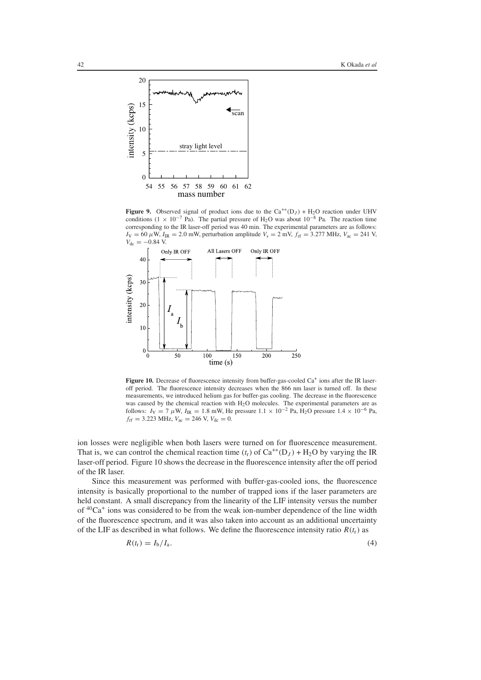

Figure 9. Observed signal of product ions due to the  $Ca^{**}(D_J) + H_2O$  reaction under UHV conditions (1 × 10<sup>-7</sup> Pa). The partial pressure of H<sub>2</sub>O was about 10<sup>-8</sup> Pa. The reaction time corresponding to the IR laser-off period was 40 min. The experimental parameters are as follows:  $I_V = 60 \mu W$ ,  $I_{IR} = 2.0 \text{ mW}$ , perturbation amplitude  $V_s = 2 \text{ mV}$ ,  $f_{rf} = 3.277 \text{ MHz}$ ,  $V_{ac} = 241 \text{ V}$ ,  $V_{\text{dc}} = -0.84 \text{ V}$ .



**Figure 10.** Decrease of fluorescence intensity from buffer-gas-cooled Ca<sup>+</sup> ions after the IR laseroff period. The fluorescence intensity decreases when the 866 nm laser is turned off. In these measurements, we introduced helium gas for buffer-gas cooling. The decrease in the fluorescence was caused by the chemical reaction with  $H_2O$  molecules. The experimental parameters are as follows:  $I_V = 7 \mu W$ ,  $I_{IR} = 1.8 \text{ mW}$ , He pressure  $1.1 \times 10^{-2} \text{ Pa}$ ,  $H_2O$  pressure  $1.4 \times 10^{-6} \text{ Pa}$ ,  $f_{\text{rf}} = 3.223 \text{ MHz}, V_{\text{ac}} = 246 \text{ V}, V_{\text{dc}} = 0.$ 

ion losses were negligible when both lasers were turned on for fluorescence measurement. That is, we can control the chemical reaction time  $(t_r)$  of  $Ca^{**}(D_J) + H_2O$  by varying the IR laser-off period. Figure 10 shows the decrease in the fluorescence intensity after the off period of the IR laser.

Since this measurement was performed with buffer-gas-cooled ions, the fluorescence intensity is basically proportional to the number of trapped ions if the laser parameters are held constant. A small discrepancy from the linearity of the LIF intensity versus the number of  ${}^{40}Ca<sup>+</sup>$  ions was considered to be from the weak ion-number dependence of the line width of the fluorescence spectrum, and it was also taken into account as an additional uncertainty of the LIF as described in what follows. We define the fluorescence intensity ratio  $R(t_r)$  as

$$
R(t_{\rm r}) = I_{\rm b}/I_{\rm a}.\tag{4}
$$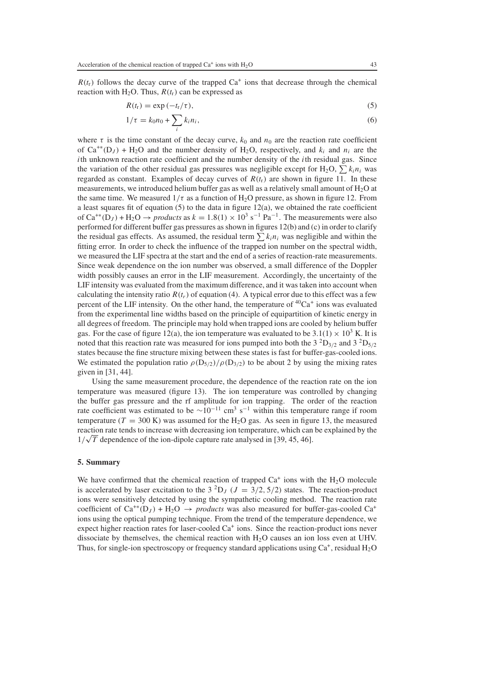$R(t_r)$  follows the decay curve of the trapped  $Ca^+$  ions that decrease through the chemical reaction with H<sub>2</sub>O. Thus,  $R(t_r)$  can be expressed as

$$
R(t_{\rm r}) = \exp\left(-t_{\rm r}/\tau\right),\tag{5}
$$

$$
1/\tau = k_0 n_0 + \sum_i k_i n_i,\tag{6}
$$

where  $\tau$  is the time constant of the decay curve,  $k_0$  and  $n_0$  are the reaction rate coefficient of  $Ca^{+*}(D_J) + H_2O$  and the number density of  $H_2O$ , respectively, and  $k_i$  and  $n_i$  are the *i*th unknown reaction rate coefficient and the number density of the *i*th residual gas. Since the variation of the other residual gas pressures was negligible except for  $H_2O$ ,  $\sum k_i n_i$  was regarded as constant. Examples of decay curves of  $R(t_r)$  are shown in figure 11. In these measurements, we introduced helium buffer gas as well as a relatively small amount of  $H_2O$  at the same time. We measured  $1/\tau$  as a function of H<sub>2</sub>O pressure, as shown in figure 12. From a least squares fit of equation  $(5)$  to the data in figure  $12(a)$ , we obtained the rate coefficient of  $Ca^{**}(D_J) + H_2O \rightarrow products$  as  $k = 1.8(1) \times 10^3$  s<sup>-1</sup> Pa<sup>-1</sup>. The measurements were also performed for different buffer gas pressures as shown in figures 12(b) and (c) in order to clarify the residual gas effects. As assumed, the residual term  $\sum k_i n_i$  was negligible and within the fitting error. In order to check the influence of the trapped ion number on the spectral width, we measured the LIF spectra at the start and the end of a series of reaction-rate measurements. Since weak dependence on the ion number was observed, a small difference of the Doppler width possibly causes an error in the LIF measurement. Accordingly, the uncertainty of the LIF intensity was evaluated from the maximum difference, and it was taken into account when calculating the intensity ratio  $R(t_r)$  of equation (4). A typical error due to this effect was a few percent of the LIF intensity. On the other hand, the temperature of  ${}^{40}Ca<sup>+</sup>$  ions was evaluated from the experimental line widths based on the principle of equipartition of kinetic energy in all degrees of freedom. The principle may hold when trapped ions are cooled by helium buffer gas. For the case of figure 12(a), the ion temperature was evaluated to be  $3.1(1) \times 10^3$  K. It is noted that this reaction rate was measured for ions pumped into both the  $3 \text{ }^2D_{3/2}$  and  $3 \text{ }^2D_{5/2}$ states because the fine structure mixing between these states is fast for buffer-gas-cooled ions. We estimated the population ratio  $\rho(D_{5/2})/\rho(D_{3/2})$  to be about 2 by using the mixing rates given in [31, 44].

Using the same measurement procedure, the dependence of the reaction rate on the ion temperature was measured (figure 13). The ion temperature was controlled by changing the buffer gas pressure and the rf amplitude for ion trapping. The order of the reaction rate coefficient was estimated to be  $\sim 10^{-11}$  cm<sup>3</sup> s<sup>-1</sup> within this temperature range if room temperature ( $T = 300 \text{ K}$ ) was assumed for the H<sub>2</sub>O gas. As seen in figure 13, the measured reaction rate tends to increase with decreasing ion temperature, which can be explained by the  $1/\sqrt{T}$  dependence of the ion-dipole capture rate analysed in [39, 45, 46].

#### **5. Summary**

We have confirmed that the chemical reaction of trapped  $Ca<sup>+</sup>$  ions with the H<sub>2</sub>O molecule is accelerated by laser excitation to the  $3 \text{ }^2D_J$  ( $J = 3/2, 5/2$ ) states. The reaction-product ions were sensitively detected by using the sympathetic cooling method. The reaction rate coefficient of  $Ca^{+*}(D_J) + H_2O \rightarrow products$  was also measured for buffer-gas-cooled  $Ca^{+}$ ions using the optical pumping technique. From the trend of the temperature dependence, we expect higher reaction rates for laser-cooled  $Ca<sup>+</sup>$  ions. Since the reaction-product ions never dissociate by themselves, the chemical reaction with H2O causes an ion loss even at UHV. Thus, for single-ion spectroscopy or frequency standard applications using  $Ca^+$ , residual  $H_2O$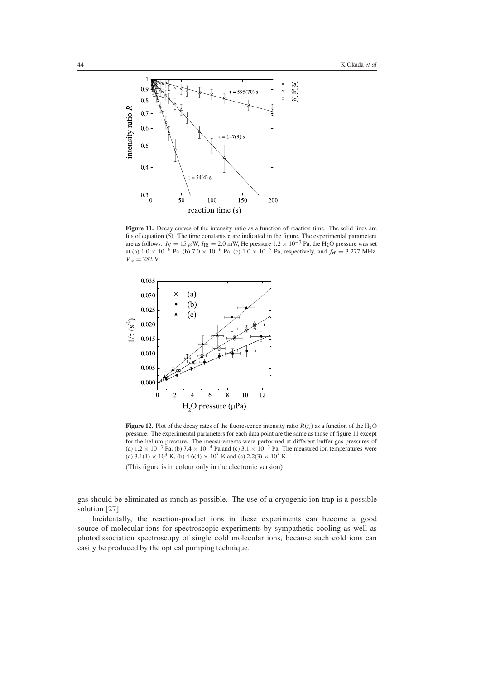

**Figure 11.** Decay curves of the intensity ratio as a function of reaction time. The solid lines are fits of equation (5). The time constants  $\tau$  are indicated in the figure. The experimental parameters are as follows:  $I_V = 15 \mu W$ ,  $I_{IR} = 2.0 \text{ mW}$ , He pressure 1.2 × 10<sup>-3</sup> Pa, the H<sub>2</sub>O pressure was set at (a)  $1.0 \times 10^{-6}$  Pa, (b)  $7.0 \times 10^{-6}$  Pa, (c)  $1.0 \times 10^{-5}$  Pa, respectively, and  $f_{\text{rf}} = 3.277$  MHz,  $V_{\text{ac}} = 282 \text{ V}.$ 



**Figure 12.** Plot of the decay rates of the fluorescence intensity ratio  $R(t_r)$  as a function of the H<sub>2</sub>O pressure. The experimental parameters for each data point are the same as those of figure 11 except for the helium pressure. The measurements were performed at different buffer-gas pressures of (a)  $1.2 \times 10^{-3}$  Pa, (b)  $7.4 \times 10^{-4}$  Pa and (c)  $3.1 \times 10^{-3}$  Pa. The measured ion temperatures were (a)  $3.1(1) \times 10^3$  K, (b)  $4.6(4) \times 10^3$  K and (c)  $2.2(3) \times 10^3$  K.

(This figure is in colour only in the electronic version)

gas should be eliminated as much as possible. The use of a cryogenic ion trap is a possible solution [27].

Incidentally, the reaction-product ions in these experiments can become a good source of molecular ions for spectroscopic experiments by sympathetic cooling as well as photodissociation spectroscopy of single cold molecular ions, because such cold ions can easily be produced by the optical pumping technique.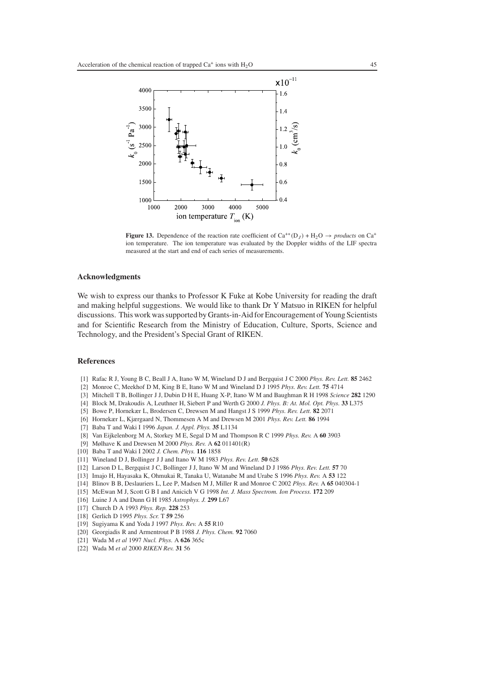

**Figure 13.** Dependence of the reaction rate coefficient of  $Ca^{**}(D_J) + H_2O \rightarrow products$  on  $Ca^{+}$ ion temperature. The ion temperature was evaluated by the Doppler widths of the LIF spectra measured at the start and end of each series of measurements.

# **Acknowledgments**

We wish to express our thanks to Professor K Fuke at Kobe University for reading the draft and making helpful suggestions. We would like to thank Dr Y Matsuo in RIKEN for helpful discussions. This work was supported by Grants-in-Aid for Encouragement of Young Scientists and for Scientific Research from the Ministry of Education, Culture, Sports, Science and Technology, and the President's Special Grant of RIKEN.

# **References**

- [1] Rafac R J, Young B C, Beall J A, Itano W M, Wineland D J and Bergquist J C 2000 *Phys. Rev. Lett.* **85** 2462
- [2] Monroe C, Meekhof D M, King B E, Itano W M and Wineland D J 1995 *Phys. Rev. Lett.* **75** 4714
- [3] Mitchell T B, Bollinger J J, Dubin D H E, Huang X-P, Itano W M and Baughman R H 1998 *Science* **282** 1290
- [4] Block M, Drakoudis A, Leuthner H, Siebert P and Werth G 2000 *J. Phys. B: At. Mol. Opt. Phys.* **33** L375
- [5] Bowe P, Hornekær L, Brodersen C, Drewsen M and Hangst J S 1999 *Phys. Rev. Lett.* **82** 2071
- [6] Hornekær L, Kjærgaard N, Thommesen A M and Drewsen M 2001 *Phys. Rev. Lett.* **86** 1994
- [7] Baba T and Waki I 1996 *Japan. J. Appl. Phys.* **35** L1134
- [8] Van Eijkelenborg M A, Storkey M E, Segal D M and Thompson R C 1999 *Phys. Rev.* A **60** 3903
- [9] Mølhave K and Drewsen M 2000 *Phys. Rev.* A **62** 011401(R)
- [10] Baba T and Waki I 2002 *J. Chem. Phys.* **116** 1858
- [11] Wineland D J, Bollinger J J and Itano W M 1983 *Phys. Rev. Lett.* **50** 628
- [12] Larson D L, Bergquist J C, Bollinger J J, Itano W M and Wineland D J 1986 *Phys. Rev. Lett.* **57** 70
- [13] Imajo H, Hayasaka K, Ohmukai R, Tanaka U, Watanabe M and Urabe S 1996 *Phys. Rev.* A **53** 122
- [14] Blinov B B, Deslauriers L, Lee P, Madsen M J, Miller R and Monroe C 2002 *Phys. Rev.* A **65** 040304-1
- [15] McEwan M J, Scott G B I and Anicich V G 1998 *Int. J. Mass Spectrom. Ion Process.* **172** 209
- [16] Luine J A and Dunn G H 1985 *Astrophys. J.* **299** L67
- [17] Church D A 1993 *Phys. Rep.* **228** 253
- [18] Gerlich D 1995 *Phys. Scr.* T **59** 256
- [19] Sugiyama K and Yoda J 1997 *Phys. Rev.* A **55** R10
- [20] Georgiadis R and Armentrout P B 1988 *J. Phys. Chem.* **92** 7060
- [21] Wada M *et al* 1997 *Nucl. Phys.* A **626** 365c
- [22] Wada M *et al* 2000 *RIKEN Rev.* **31** 56